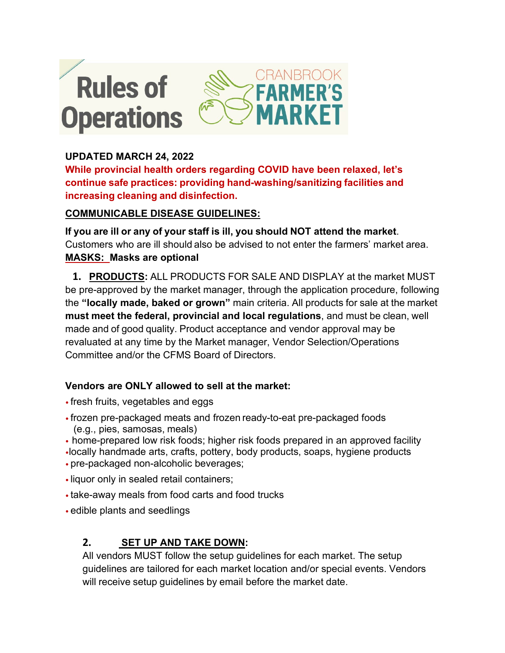

## **UPDATED MARCH 24, 2022**

**While provincial health orders regarding COVID have been relaxed, let's continue safe practices: providing hand-washing/sanitizing facilities and increasing cleaning and disinfection.**

## **COMMUNICABLE DISEASE GUIDELINES:**

**If you are ill or any of your staff is ill, you should NOT attend the market**. Customers who are ill should also be advised to not enter the farmers' market area. **MASKS: Masks are optional** 

**1. PRODUCTS:** ALL PRODUCTS FOR SALE AND DISPLAY at the market MUST be pre-approved by the market manager, through the application procedure, following the **"locally made, baked or grown"** main criteria. All products for sale at the market **must meet the federal, provincial and local regulations**, and must be clean, well made and of good quality. Product acceptance and vendor approval may be revaluated at any time by the Market manager, Vendor Selection/Operations Committee and/or the CFMS Board of Directors.

## **Vendors are ONLY allowed to sell at the market:**

- fresh fruits, vegetables and eggs
- frozen pre-packaged meats and frozen ready-to-eat pre-packaged foods (e.g., pies, samosas, meals)
- home-prepared low risk foods; higher risk foods prepared in an approved facility
- •locally handmade arts, crafts, pottery, body products, soaps, hygiene products • pre-packaged non-alcoholic beverages;
- liquor only in sealed retail containers;
- take-away meals from food carts and food trucks
- edible plants and seedlings

# **2. SET UP AND TAKE DOWN:**

All vendors MUST follow the setup guidelines for each market. The setup guidelines are tailored for each market location and/or special events. Vendors will receive setup guidelines by email before the market date.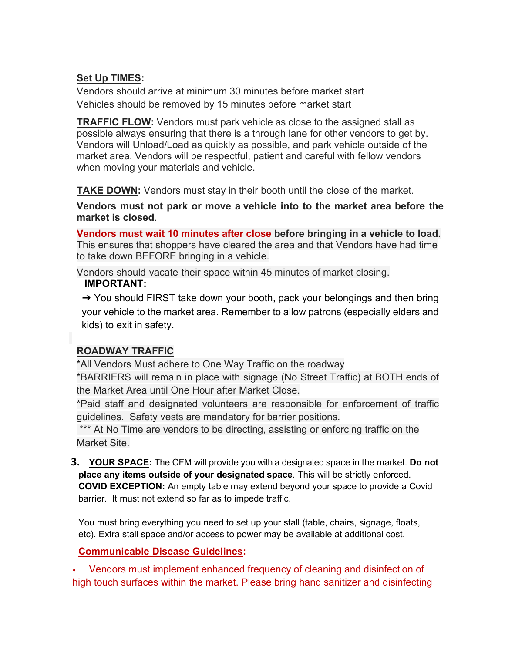# **Set Up TIMES:**

Vendors should arrive at minimum 30 minutes before market start Vehicles should be removed by 15 minutes before market start

**TRAFFIC FLOW:** Vendors must park vehicle as close to the assigned stall as possible always ensuring that there is a through lane for other vendors to get by. Vendors will Unload/Load as quickly as possible, and park vehicle outside of the market area. Vendors will be respectful, patient and careful with fellow vendors when moving your materials and vehicle.

**TAKE DOWN:** Vendors must stay in their booth until the close of the market.

**Vendors must not park or move a vehicle into to the market area before the market is closed**.

**Vendors must wait 10 minutes after close before bringing in a vehicle to load.** This ensures that shoppers have cleared the area and that Vendors have had time to take down BEFORE bringing in a vehicle.

Vendors should vacate their space within 45 minutes of market closing.  **IMPORTANT:**

→ You should FIRST take down your booth, pack your belongings and then bring your vehicle to the market area. Remember to allow patrons (especially elders and kids) to exit in safety.

## **ROADWAY TRAFFIC**

\*All Vendors Must adhere to One Way Traffic on the roadway \*BARRIERS will remain in place with signage (No Street Traffic) at BOTH ends of the Market Area until One Hour after Market Close.

\*Paid staff and designated volunteers are responsible for enforcement of traffic guidelines. Safety vests are mandatory for barrier positions.

\*\*\* At No Time are vendors to be directing, assisting or enforcing traffic on the Market Site.

**3. YOUR SPACE:** The CFM will provide you with a designated space in the market. **Do not place any items outside of your designated space**. This will be strictly enforced. **COVID EXCEPTION:** An empty table may extend beyond your space to provide a Covid barrier. It must not extend so far as to impede traffic.

You must bring everything you need to set up your stall (table, chairs, signage, floats, etc). Extra stall space and/or access to power may be available at additional cost.

#### **Communicable Disease Guidelines:**

• Vendors must implement enhanced frequency of cleaning and disinfection of high touch surfaces within the market. Please bring hand sanitizer and disinfecting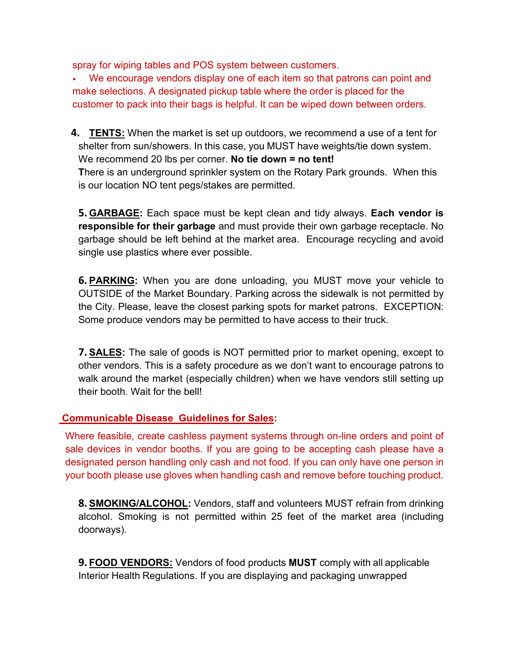spray for wiping tables and POS system between customers.

• We encourage vendors display one of each item so that patrons can point and make selections. A designated pickup table where the order is placed for the customer to pack into their bags is helpful. It can be wiped down between orders.

**4. TENTS:** When the market is set up outdoors, we recommend a use of a tent for shelter from sun/showers. In this case, you MUST have weights/tie down system. We recommend 20 lbs per corner. **No tie down = no tent! T**here is an underground sprinkler system on the Rotary Park grounds. When this is our location NO tent pegs/stakes are permitted.

**5. GARBAGE:** Each space must be kept clean and tidy always. **Each vendor is responsible for their garbage** and must provide their own garbage receptacle. No garbage should be left behind at the market area. Encourage recycling and avoid single use plastics where ever possible.

**6. PARKING:** When you are done unloading, you MUST move your vehicle to OUTSIDE of the Market Boundary. Parking across the sidewalk is not permitted by the City. Please, leave the closest parking spots for market patrons. EXCEPTION: Some produce vendors may be permitted to have access to their truck.

**7. SALES:** The sale of goods is NOT permitted prior to market opening, except to other vendors. This is a safety procedure as we don't want to encourage patrons to walk around the market (especially children) when we have vendors still setting up their booth. Wait for the bell!

#### **Communicable Disease Guidelines for Sales:**

Where feasible, create cashless payment systems through on-line orders and point of sale devices in vendor booths. If you are going to be accepting cash please have a designated person handling only cash and not food. If you can only have one person in your booth please use gloves when handling cash and remove before touching product.

**8. SMOKING/ALCOHOL:** Vendors, staff and volunteers MUST refrain from drinking alcohol. Smoking is not permitted within 25 feet of the market area (including doorways).

**9. FOOD VENDORS:** Vendors of food products **MUST** comply with all applicable Interior Health Regulations. If you are displaying and packaging unwrapped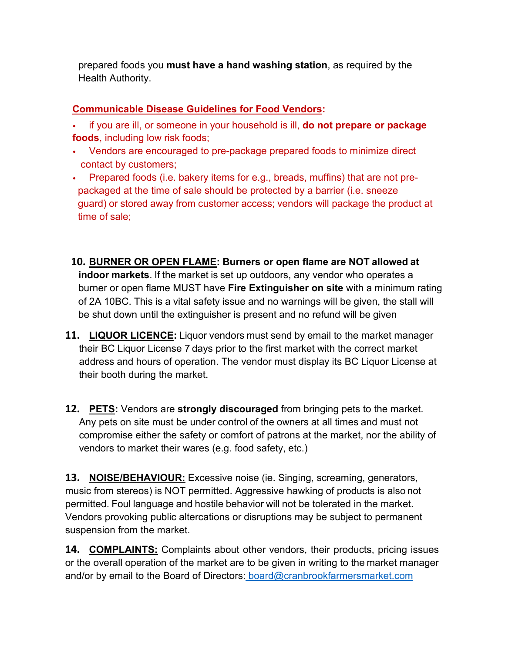prepared foods you **must have a hand washing station**, as required by the Health Authority.

#### **Communicable Disease Guidelines for Food Vendors:**

- if you are ill, or someone in your household is ill, **do not prepare or package foods**, including low risk foods;
- Vendors are encouraged to pre-package prepared foods to minimize direct contact by customers;
- Prepared foods (i.e. bakery items for e.g., breads, muffins) that are not pre packaged at the time of sale should be protected by a barrier (i.e. sneeze guard) or stored away from customer access; vendors will package the product at time of sale;
- **10. BURNER OR OPEN FLAME: Burners or open flame are NOT allowed at indoor markets**. If the market is set up outdoors, any vendor who operates a burner or open flame MUST have **Fire Extinguisher on site** with a minimum rating of 2A 10BC. This is a vital safety issue and no warnings will be given, the stall will be shut down until the extinguisher is present and no refund will be given
- **11. LIQUOR LICENCE:** Liquor vendors must send by email to the market manager their BC Liquor License 7 days prior to the first market with the correct market address and hours of operation. The vendor must display its BC Liquor License at their booth during the market.
- **12. PETS:** Vendors are **strongly discouraged** from bringing pets to the market. Any pets on site must be under control of the owners at all times and must not compromise either the safety or comfort of patrons at the market, nor the ability of vendors to market their wares (e.g. food safety, etc.)

**13. NOISE/BEHAVIOUR:** Excessive noise (ie. Singing, screaming, generators, music from stereos) is NOT permitted. Aggressive hawking of products is also not permitted. Foul language and hostile behavior will not be tolerated in the market. Vendors provoking public altercations or disruptions may be subject to permanent suspension from the market.

**14. COMPLAINTS:** Complaints about other vendors, their products, pricing issues or the overall operation of the market are to be given in writing to the market manager and/or by email to the Board of Directors: [board@cranbrookfarmersmarket.com](mailto:board@cranbrookfarmersmarket.com)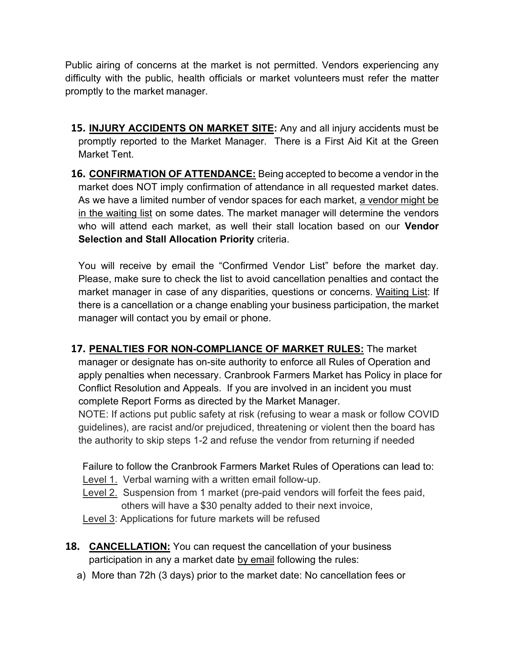Public airing of concerns at the market is not permitted. Vendors experiencing any difficulty with the public, health officials or market volunteers must refer the matter promptly to the market manager.

- **15. INJURY ACCIDENTS ON MARKET SITE:** Any and all injury accidents must be promptly reported to the Market Manager. There is a First Aid Kit at the Green Market Tent.
- **16. CONFIRMATION OF ATTENDANCE:** Being accepted to become a vendor in the market does NOT imply confirmation of attendance in all requested market dates. As we have a limited number of vendor spaces for each market, a vendor might be in the waiting list on some dates. The market manager will determine the vendors who will attend each market, as well their stall location based on our **Vendor Selection and Stall Allocation Priority** criteria.

You will receive by email the "Confirmed Vendor List" before the market day. Please, make sure to check the list to avoid cancellation penalties and contact the market manager in case of any disparities, questions or concerns. Waiting List: If there is a cancellation or a change enabling your business participation, the market manager will contact you by email or phone.

**17. PENALTIES FOR NON-COMPLIANCE OF MARKET RULES:** The market manager or designate has on-site authority to enforce all Rules of Operation and apply penalties when necessary. Cranbrook Farmers Market has Policy in place for Conflict Resolution and Appeals. If you are involved in an incident you must complete Report Forms as directed by the Market Manager.

NOTE: If actions put public safety at risk (refusing to wear a mask or follow COVID guidelines), are racist and/or prejudiced, threatening or violent then the board has the authority to skip steps 1-2 and refuse the vendor from returning if needed

Failure to follow the Cranbrook Farmers Market Rules of Operations can lead to:

- Level 1. Verbal warning with a written email follow-up.
- Level 2. Suspension from 1 market (pre-paid vendors will forfeit the fees paid, others will have a \$30 penalty added to their next invoice,

Level 3: Applications for future markets will be refused

- **18. CANCELLATION:** You can request the cancellation of your business participation in any a market date by email following the rules:
	- a) More than 72h (3 days) prior to the market date: No cancellation fees or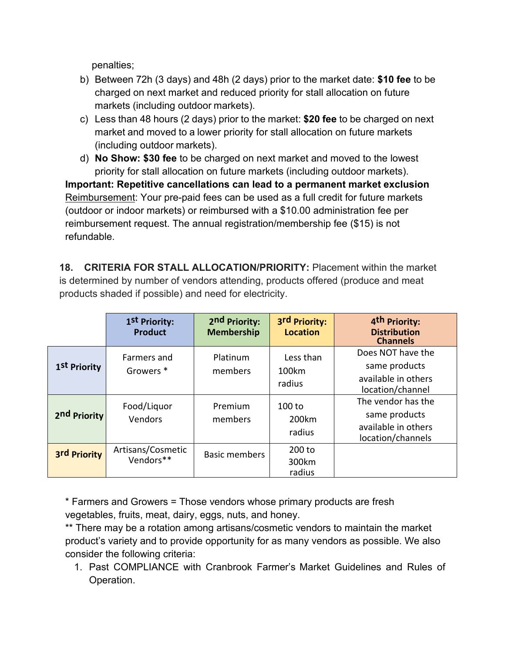penalties;

- b) Between 72h (3 days) and 48h (2 days) prior to the market date: **\$10 fee** to be charged on next market and reduced priority for stall allocation on future markets (including outdoor markets).
- c) Less than 48 hours (2 days) prior to the market: **\$20 fee** to be charged on next market and moved to a lower priority for stall allocation on future markets (including outdoor markets).
- d) **No Show: \$30 fee** to be charged on next market and moved to the lowest priority for stall allocation on future markets (including outdoor markets).

**Important: Repetitive cancellations can lead to a permanent market exclusion** Reimbursement: Your pre-paid fees can be used as a full credit for future markets (outdoor or indoor markets) or reimbursed with a \$10.00 administration fee per reimbursement request. The annual registration/membership fee (\$15) is not refundable.

**18. CRITERIA FOR STALL ALLOCATION/PRIORITY:** Placement within the market is determined by number of vendors attending, products offered (produce and meat products shaded if possible) and need for electricity.

|              | 1 <sup>st</sup> Priority:<br><b>Product</b> | 2nd Priority:<br><b>Membership</b> | 3rd Priority:<br><b>Location</b> | 4 <sup>th</sup> Priority:<br><b>Distribution</b><br><b>Channels</b>             |
|--------------|---------------------------------------------|------------------------------------|----------------------------------|---------------------------------------------------------------------------------|
| 1st Priority | Farmers and<br>Growers <sup>*</sup>         | Platinum<br>members                | Less than<br>100km<br>radius     | Does NOT have the<br>same products<br>available in others<br>location/channel   |
| 2nd Priority | Food/Liquor<br>Vendors                      | Premium<br>members                 | $100$ to<br>200km<br>radius      | The vendor has the<br>same products<br>available in others<br>location/channels |
| 3rd Priority | Artisans/Cosmetic<br>Vendors**              | <b>Basic members</b>               | $200$ to<br>300km<br>radius      |                                                                                 |

\* Farmers and Growers = Those vendors whose primary products are fresh vegetables, fruits, meat, dairy, eggs, nuts, and honey.

\*\* There may be a rotation among artisans/cosmetic vendors to maintain the market product's variety and to provide opportunity for as many vendors as possible. We also consider the following criteria:

1. Past COMPLIANCE with Cranbrook Farmer's Market Guidelines and Rules of Operation.